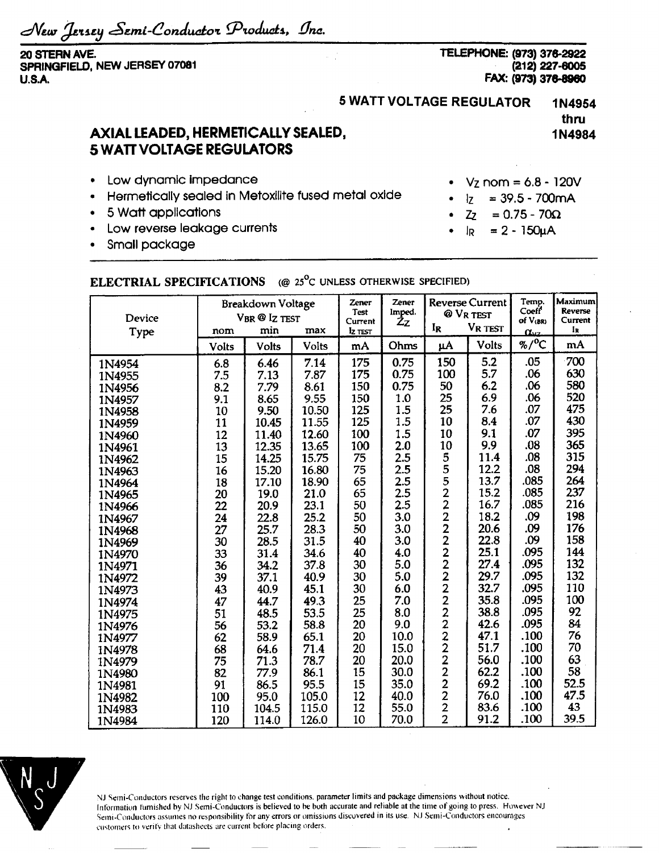*eSejni-donduotoi ^Pioauats., {Jna.*

**20 STERN AVE. SPRINGFIELD, NEW JERSEY 07081 U.S.A.**

**TELEPHONE: (973) 376-2922 (212) 227-6005 FAX: (973) 376-8960**

## **5 WATT VOLTAGE REGULATOR 1N4954**

**thru 1N4984**

## **AXIAL LEADED, HERMETICALLY SEALED, 5 WATT VOLTAGE REGULATORS**

- Low dynamic impedance
- Hermetically sealed in Metoxilite fused metal oxide
- 5 Watt applications
- Low reverse leakage currents
- Small package

## $V_{Z}$  nom = 6.8 - 120V

- $I_Z$  = 39.5 700 mA
- $Z_2 = 0.75 70\Omega$
- $I_R$  = 2 150 $\mu$ A

## **ELECTRIAL SPECIFICATIONS** (@ 25°c UNLESS OTHERWISE SPECIFIED)

| Device<br>Type | Breakdown Voltage<br>VBR @ Iz TEST<br>min<br>max<br>nom |              |       | Zener<br><b>Test</b><br>Current<br>Iz TEST | Zener<br>Imped.<br>Żz | <b>Reverse Current</b><br>@ VR TEST<br>VR TEST<br>IR |              | Temp.<br>Coeff<br>of V(BR)<br>$\alpha_{\nu z}$ | Maximum<br><b>Reverse</b><br>Current<br>Ιĸ |
|----------------|---------------------------------------------------------|--------------|-------|--------------------------------------------|-----------------------|------------------------------------------------------|--------------|------------------------------------------------|--------------------------------------------|
|                | Volts                                                   | <b>Volts</b> | Volts | mA                                         | Ohms                  | μA                                                   | <b>Volts</b> | %/ $^{\circ}$ C                                | mA                                         |
| 1N4954         | 6.8                                                     | 6.46         | 7.14  | 175                                        | 0.75                  | 150                                                  | 5.2          | .05                                            | 700                                        |
| 1N4955         | 7.5                                                     | 7.13         | 7.87  | 175                                        | 0.75                  | 100                                                  | 5.7          | .06                                            | 630                                        |
| 1N4956         | 8.2                                                     | 7.79         | 8.61  | 150                                        | 0.75                  | 50                                                   | 6.2          | .06                                            | 580                                        |
| 1N4957         | 9.1                                                     | 8.65         | 9.55  | 150                                        | 1.0                   | 25                                                   | 6.9          | .06                                            | 520                                        |
| 1N4958         | 10                                                      | 9.50         | 10.50 | 125                                        | 1.5                   | 25                                                   | 7.6          | .07                                            | 475                                        |
| 1N4959         | 11                                                      | 10.45        | 11.55 | 125                                        | 1.5                   | 10                                                   | 8.4          | .07                                            | 430                                        |
| 1N4960         | 12                                                      | 11.40        | 12.60 | 100                                        | 1.5                   | 10                                                   | 9.1          | .07                                            | 395                                        |
| 1N4961         | 13                                                      | 12.35        | 13.65 | 100                                        | 2.0                   | 10                                                   | 9.9          | .08                                            | 365                                        |
| 1N4962         | 15                                                      | 14.25        | 15.75 | 75                                         | 2.5                   |                                                      | 11.4         | .08                                            | 315                                        |
| 1N4963         | 16                                                      | 15.20        | 16.80 | 75                                         | 2.5                   |                                                      | 12.2         | .08                                            | 294                                        |
| 1N4964         | 18                                                      | 17.10        | 18.90 | 65                                         | 2.5                   |                                                      | 13.7         | .085                                           | 264                                        |
| 1N4965         | 20                                                      | 19.0         | 21.0  | 65                                         | 2.5                   |                                                      | 15.2         | .085                                           | 237                                        |
| 1N4966         | 22                                                      | 20.9         | 23.1  | 50                                         | 2.5                   |                                                      | 16.7         | .085                                           | 216                                        |
| 1N4967         | 24                                                      | 22.8         | 25.2  | 50                                         | 3.0                   |                                                      | 18.2         | .09                                            | 198                                        |
| 1N4968         | 27                                                      | 25.7         | 28.3  | 50                                         | 3.0                   |                                                      | 20.6         | .09                                            | 176                                        |
| 1N4969         | 30                                                      | 28.5         | 31.5  | 40                                         | 3.0                   |                                                      | 22.8         | .09                                            | 158                                        |
| 1N4970         | 33                                                      | 31.4         | 34.6  | 40                                         | 4.0                   |                                                      | 25.1         | .095                                           | 144                                        |
| 1N4971         | 36                                                      | 34.2         | 37.8  | 30                                         | 5.0                   |                                                      | 27.4         | .095                                           | 132                                        |
| 1N4972         | 39                                                      | 37.1         | 40.9  | 30                                         | 5.0                   |                                                      | 29.7         | .095                                           | 132                                        |
| 1N4973         | 43                                                      | 40.9         | 45.1  | 30                                         | 6.0                   |                                                      | 32.7         | .095                                           | 110                                        |
| 1N4974         | 47                                                      | 44.7         | 49.3  | 25                                         | 7.0                   |                                                      | 35.8         | .095                                           | 100                                        |
| 1N4975         | 51                                                      | 48.5         | 53.5  | 25                                         | 8.0                   |                                                      | 38.8         | .095                                           | 92                                         |
| 1N4976         | 56                                                      | 53.2         | 58.8  | 20                                         | 9.0                   |                                                      | 42.6         | .095                                           | 84                                         |
| 1N4977         | 62                                                      | 58.9         | 65.1  | 20                                         | 10.0                  |                                                      | 47.1         | .100                                           | 76                                         |
| 1N4978         | 68                                                      | 64.6         | 71.4  | 20                                         | 15.0                  |                                                      | 51.7         | .100                                           | 70                                         |
| 1N4979         | 75                                                      | 71.3         | 78.7  | 20                                         | 20.0                  |                                                      | 56.0         | .100                                           | 63                                         |
| 1N4980         | 82                                                      | 77.9         | 86.1  | 15                                         | 30.0                  |                                                      | 62.2         | .100                                           | 58                                         |
| 1N4981         | 91                                                      | 86.5         | 95.5  | 15                                         | 35.0                  | 55522222222222222222                                 | 69.2         | .100                                           | 52.5                                       |
| 1N4982         | 100                                                     | 95.0         | 105.0 | 12                                         | 40.0                  |                                                      | 76.0         | .100                                           | 47.5                                       |
| 1N4983         | 110                                                     | 104.5        | 115.0 | 12                                         | 55.0                  | $\overline{2}$                                       | 83.6         | .100                                           | 43                                         |
| 1N4984         | 120                                                     | 114.0        | 126.0 | 10                                         | 70.0                  | $\overline{2}$                                       | 91.2         | .100                                           | 39.5                                       |



NJ Semi-Conductors reserves the right to change test conditions, parameter limits and package dimensions without notice. Information furnished by NJ Semi-Conductors is believed to he both accurate and reliable at the time of going to press. However NJ Semi-Conductors assumes no responsibility for any errors or omissions discovered in its use. NJ Semi-Conductors encourages customers to verity that datasheets are current before placing orders.